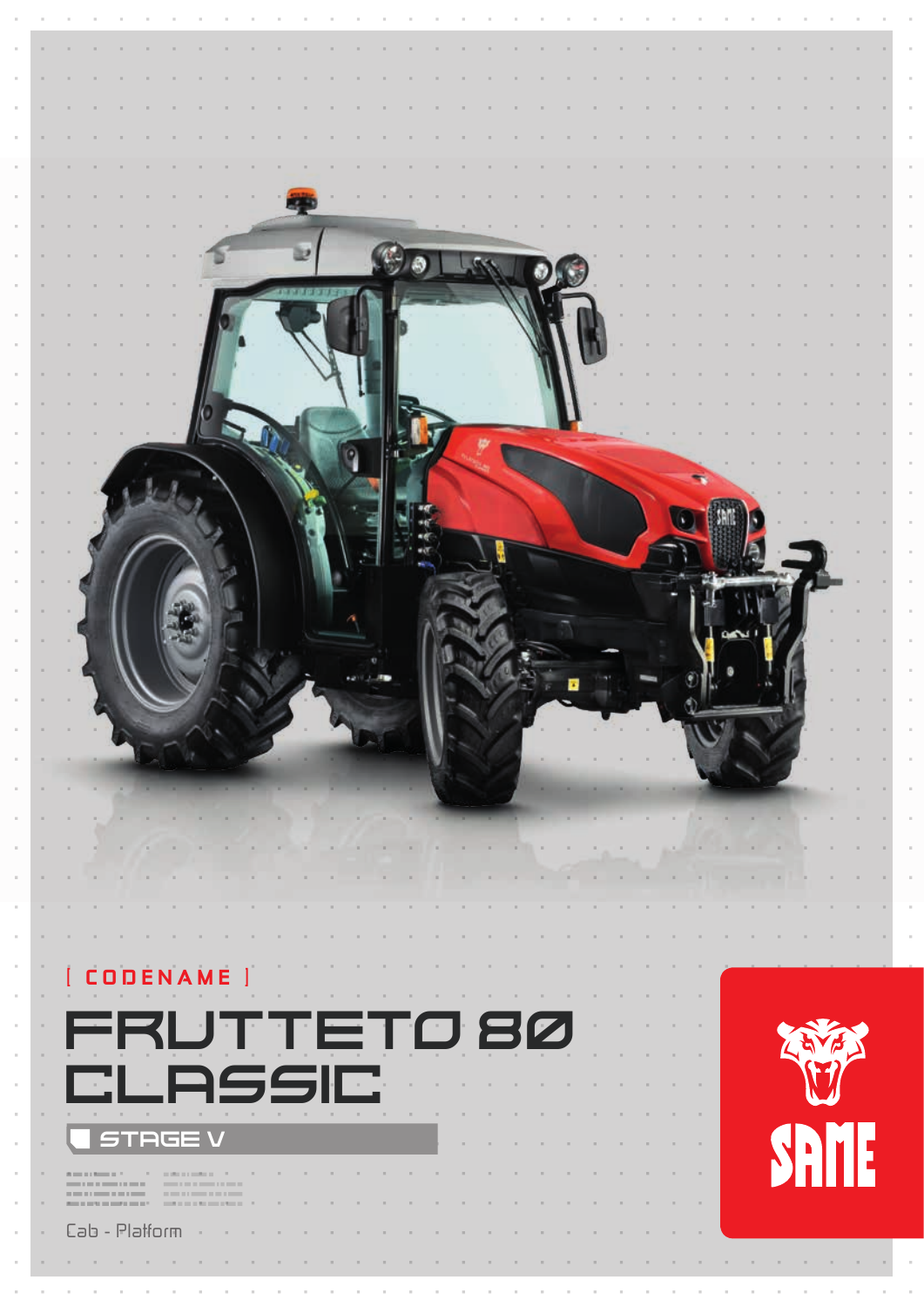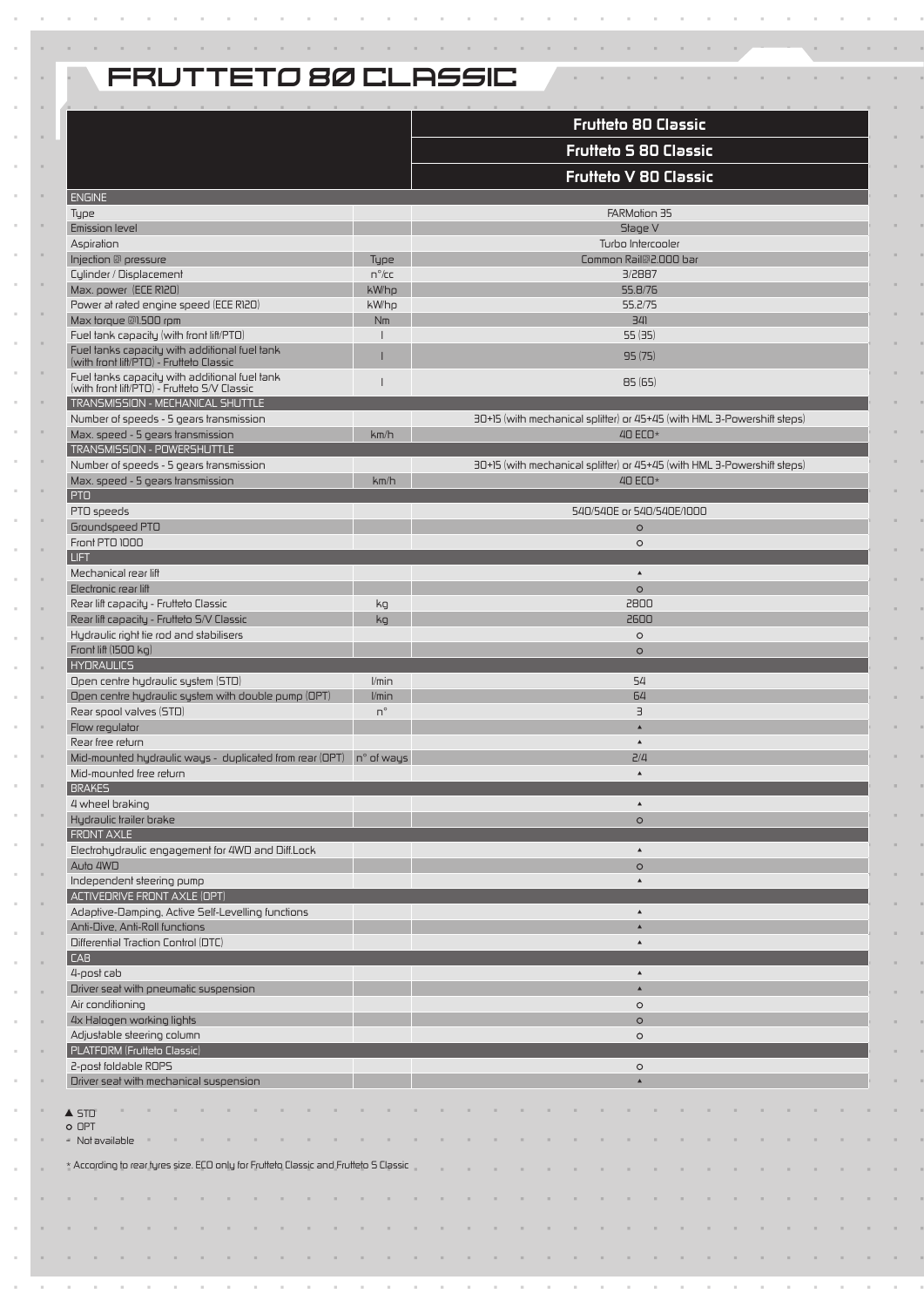# FRUTTETO 80 CLASSIC

|                                                                                                                                                                                                                                      |                 | <b>Frutteto 80 Classic</b>                                              |  |  |  |  |  |  |  |  |  |  |  |  |  |
|--------------------------------------------------------------------------------------------------------------------------------------------------------------------------------------------------------------------------------------|-----------------|-------------------------------------------------------------------------|--|--|--|--|--|--|--|--|--|--|--|--|--|
|                                                                                                                                                                                                                                      |                 | <b>Frutteto 5 80 Classic</b>                                            |  |  |  |  |  |  |  |  |  |  |  |  |  |
|                                                                                                                                                                                                                                      |                 | <b>Frutteto V 80 Classic</b>                                            |  |  |  |  |  |  |  |  |  |  |  |  |  |
| <b>ENGINE</b>                                                                                                                                                                                                                        |                 |                                                                         |  |  |  |  |  |  |  |  |  |  |  |  |  |
| Type                                                                                                                                                                                                                                 |                 | FARMotion 35                                                            |  |  |  |  |  |  |  |  |  |  |  |  |  |
| Emission level                                                                                                                                                                                                                       |                 | Stage V                                                                 |  |  |  |  |  |  |  |  |  |  |  |  |  |
| Aspiration<br>Injection @ pressure                                                                                                                                                                                                   | Type            | Turbo Intercooler<br>Common Rail@2.000 bar                              |  |  |  |  |  |  |  |  |  |  |  |  |  |
| Cylinder / Displacement                                                                                                                                                                                                              | $n^{\circ}/c$ c | 3/2887                                                                  |  |  |  |  |  |  |  |  |  |  |  |  |  |
| Max. power (ECE R120)                                                                                                                                                                                                                | kW/hp           | 55.8/76                                                                 |  |  |  |  |  |  |  |  |  |  |  |  |  |
| Power at rated engine speed (ECE R120)                                                                                                                                                                                               | kW/hp           | 55.2/75                                                                 |  |  |  |  |  |  |  |  |  |  |  |  |  |
| Max torque @1.500 rpm                                                                                                                                                                                                                | Nm              | 341                                                                     |  |  |  |  |  |  |  |  |  |  |  |  |  |
| Fuel tank capacity (with front lift/PTO)                                                                                                                                                                                             |                 | 55(35)                                                                  |  |  |  |  |  |  |  |  |  |  |  |  |  |
| Fuel tanks capacity with additional fuel tank<br>(with front lift/PTO) - Frutteto Classic                                                                                                                                            |                 | 95(75)                                                                  |  |  |  |  |  |  |  |  |  |  |  |  |  |
| Fuel tanks capacity with additional fuel tank<br>(with front lift/PTO) - Frutteto S/V Classic                                                                                                                                        |                 | 85(65)                                                                  |  |  |  |  |  |  |  |  |  |  |  |  |  |
| TRANSMISSION - MECHANICAL SHUTTLE<br>Number of speeds - 5 gears transmission                                                                                                                                                         |                 | 30+15 (with mechanical splitter) or 45+45 (with HML 3-Powershift steps) |  |  |  |  |  |  |  |  |  |  |  |  |  |
| Max. speed - 5 gears transmission                                                                                                                                                                                                    | km/h            | 40 $ECO*$                                                               |  |  |  |  |  |  |  |  |  |  |  |  |  |
| TRANSMISSION - POWERSHUTTLE                                                                                                                                                                                                          |                 |                                                                         |  |  |  |  |  |  |  |  |  |  |  |  |  |
| Number of speeds - 5 gears transmission                                                                                                                                                                                              |                 | 30+15 (with mechanical splitter) or 45+45 (with HML 3-Powershift steps) |  |  |  |  |  |  |  |  |  |  |  |  |  |
| Max. speed - 5 gears transmission                                                                                                                                                                                                    | km/h            | 40 $ECO*$                                                               |  |  |  |  |  |  |  |  |  |  |  |  |  |
| <b>PTO</b>                                                                                                                                                                                                                           |                 |                                                                         |  |  |  |  |  |  |  |  |  |  |  |  |  |
| PTO speeds                                                                                                                                                                                                                           |                 | 540/540E or 540/540E/1000                                               |  |  |  |  |  |  |  |  |  |  |  |  |  |
| Groundspeed PTO                                                                                                                                                                                                                      |                 | $\circ$                                                                 |  |  |  |  |  |  |  |  |  |  |  |  |  |
| Front PTO 1000                                                                                                                                                                                                                       |                 | $\circ$                                                                 |  |  |  |  |  |  |  |  |  |  |  |  |  |
| <b>LIFT</b>                                                                                                                                                                                                                          |                 |                                                                         |  |  |  |  |  |  |  |  |  |  |  |  |  |
| Mechanical rear lift                                                                                                                                                                                                                 |                 | $\blacktriangle$                                                        |  |  |  |  |  |  |  |  |  |  |  |  |  |
| Electronic rear lift                                                                                                                                                                                                                 |                 | $\circ$                                                                 |  |  |  |  |  |  |  |  |  |  |  |  |  |
| Rear lift capacity - Frutteto Classic                                                                                                                                                                                                | kg              | 2800                                                                    |  |  |  |  |  |  |  |  |  |  |  |  |  |
| Rear lift capacity - Frutteto S/V Classic                                                                                                                                                                                            | kg              | 2600                                                                    |  |  |  |  |  |  |  |  |  |  |  |  |  |
| Hydraulic right tie rod and stabilisers                                                                                                                                                                                              |                 | $\circ$                                                                 |  |  |  |  |  |  |  |  |  |  |  |  |  |
| Front lift (1500 kg)                                                                                                                                                                                                                 |                 | $\circ$                                                                 |  |  |  |  |  |  |  |  |  |  |  |  |  |
| <b>HYDRAULICS</b>                                                                                                                                                                                                                    |                 |                                                                         |  |  |  |  |  |  |  |  |  |  |  |  |  |
| Open centre hydraulic system (STD)                                                                                                                                                                                                   | $V$ min         | 54                                                                      |  |  |  |  |  |  |  |  |  |  |  |  |  |
| Open centre hydraulic system with double pump (OPT)                                                                                                                                                                                  | l/min           | 64                                                                      |  |  |  |  |  |  |  |  |  |  |  |  |  |
| Rear spool valves (STD)                                                                                                                                                                                                              | $n^{\circ}$     | $\exists$                                                               |  |  |  |  |  |  |  |  |  |  |  |  |  |
| Flow regulator                                                                                                                                                                                                                       |                 | $\blacktriangle$                                                        |  |  |  |  |  |  |  |  |  |  |  |  |  |
| Rear free return                                                                                                                                                                                                                     |                 | $\blacktriangle$                                                        |  |  |  |  |  |  |  |  |  |  |  |  |  |
| Mid-mounted hydraulic ways - duplicated from rear $(DPT)$ $\mid$ n° of ways                                                                                                                                                          |                 | Z/4                                                                     |  |  |  |  |  |  |  |  |  |  |  |  |  |
| Mid-mounted free return                                                                                                                                                                                                              |                 | $\blacktriangle$                                                        |  |  |  |  |  |  |  |  |  |  |  |  |  |
| <b>BRAKES</b>                                                                                                                                                                                                                        |                 |                                                                         |  |  |  |  |  |  |  |  |  |  |  |  |  |
| 4 wheel braking                                                                                                                                                                                                                      |                 |                                                                         |  |  |  |  |  |  |  |  |  |  |  |  |  |
| Hydraulic trailer brake<br><b>FRONT AXLE</b>                                                                                                                                                                                         |                 | $\circ$                                                                 |  |  |  |  |  |  |  |  |  |  |  |  |  |
| Electrohydraulic engagement for 4WD and Diff.Lock                                                                                                                                                                                    |                 | $\blacktriangle$                                                        |  |  |  |  |  |  |  |  |  |  |  |  |  |
| Auto 4WD                                                                                                                                                                                                                             |                 | $\circ$                                                                 |  |  |  |  |  |  |  |  |  |  |  |  |  |
| Independent steering pump                                                                                                                                                                                                            |                 | $\blacktriangle$                                                        |  |  |  |  |  |  |  |  |  |  |  |  |  |
| ACTIVEDRIVE FRONT AXLE (OPT)                                                                                                                                                                                                         |                 |                                                                         |  |  |  |  |  |  |  |  |  |  |  |  |  |
| Adaptive-Damping, Active Self-Levelling functions                                                                                                                                                                                    |                 | $\blacktriangle$                                                        |  |  |  |  |  |  |  |  |  |  |  |  |  |
| Anti-Dive, Anti-Roll functions                                                                                                                                                                                                       |                 | $\blacktriangle$                                                        |  |  |  |  |  |  |  |  |  |  |  |  |  |
|                                                                                                                                                                                                                                      |                 | $\blacktriangle$                                                        |  |  |  |  |  |  |  |  |  |  |  |  |  |
| Differential Traction Control (DTC)                                                                                                                                                                                                  |                 |                                                                         |  |  |  |  |  |  |  |  |  |  |  |  |  |
| CAB                                                                                                                                                                                                                                  |                 |                                                                         |  |  |  |  |  |  |  |  |  |  |  |  |  |
| 4-post cab                                                                                                                                                                                                                           |                 | $\blacktriangle$                                                        |  |  |  |  |  |  |  |  |  |  |  |  |  |
| Driver seat with pneumatic suspension                                                                                                                                                                                                |                 | $\blacktriangle$                                                        |  |  |  |  |  |  |  |  |  |  |  |  |  |
| Air conditioning                                                                                                                                                                                                                     |                 | $\circ$                                                                 |  |  |  |  |  |  |  |  |  |  |  |  |  |
|                                                                                                                                                                                                                                      |                 | $\circ$                                                                 |  |  |  |  |  |  |  |  |  |  |  |  |  |
| 4x Halogen working lights<br>Adjustable steering column                                                                                                                                                                              |                 | $\circ$                                                                 |  |  |  |  |  |  |  |  |  |  |  |  |  |
|                                                                                                                                                                                                                                      |                 |                                                                         |  |  |  |  |  |  |  |  |  |  |  |  |  |
|                                                                                                                                                                                                                                      |                 | $\circ$                                                                 |  |  |  |  |  |  |  |  |  |  |  |  |  |
|                                                                                                                                                                                                                                      |                 | $\blacktriangle$                                                        |  |  |  |  |  |  |  |  |  |  |  |  |  |
|                                                                                                                                                                                                                                      |                 |                                                                         |  |  |  |  |  |  |  |  |  |  |  |  |  |
|                                                                                                                                                                                                                                      |                 |                                                                         |  |  |  |  |  |  |  |  |  |  |  |  |  |
|                                                                                                                                                                                                                                      |                 |                                                                         |  |  |  |  |  |  |  |  |  |  |  |  |  |
|                                                                                                                                                                                                                                      |                 |                                                                         |  |  |  |  |  |  |  |  |  |  |  |  |  |
|                                                                                                                                                                                                                                      |                 |                                                                         |  |  |  |  |  |  |  |  |  |  |  |  |  |
|                                                                                                                                                                                                                                      |                 |                                                                         |  |  |  |  |  |  |  |  |  |  |  |  |  |
| PLATFORM (Frutteto Classic)<br>2-post foldable ROPS<br>Driver seat with mechanical suspension<br>$\triangle$ STD<br>O OPT<br>- Not available<br>* According to rear tyres size. ECO only for Frutteto Classic and Frutteto S Classic |                 |                                                                         |  |  |  |  |  |  |  |  |  |  |  |  |  |
|                                                                                                                                                                                                                                      |                 |                                                                         |  |  |  |  |  |  |  |  |  |  |  |  |  |
|                                                                                                                                                                                                                                      |                 |                                                                         |  |  |  |  |  |  |  |  |  |  |  |  |  |
|                                                                                                                                                                                                                                      |                 |                                                                         |  |  |  |  |  |  |  |  |  |  |  |  |  |
|                                                                                                                                                                                                                                      |                 |                                                                         |  |  |  |  |  |  |  |  |  |  |  |  |  |

 $\sim$  $\sim$  100

and a strategic and a strategic

 $\alpha$  , and  $\alpha$  , and  $\alpha$ 

a. a.  $\mathcal{L}_{\rm eff}$  $\sim$  $\mathcal{A}$ 

×. à. J.

> J. J. J.

> J. J.

> J. J.

> > J.

J. J.

J. J.

J.

J. J. J.

J. J.

J.

÷. J.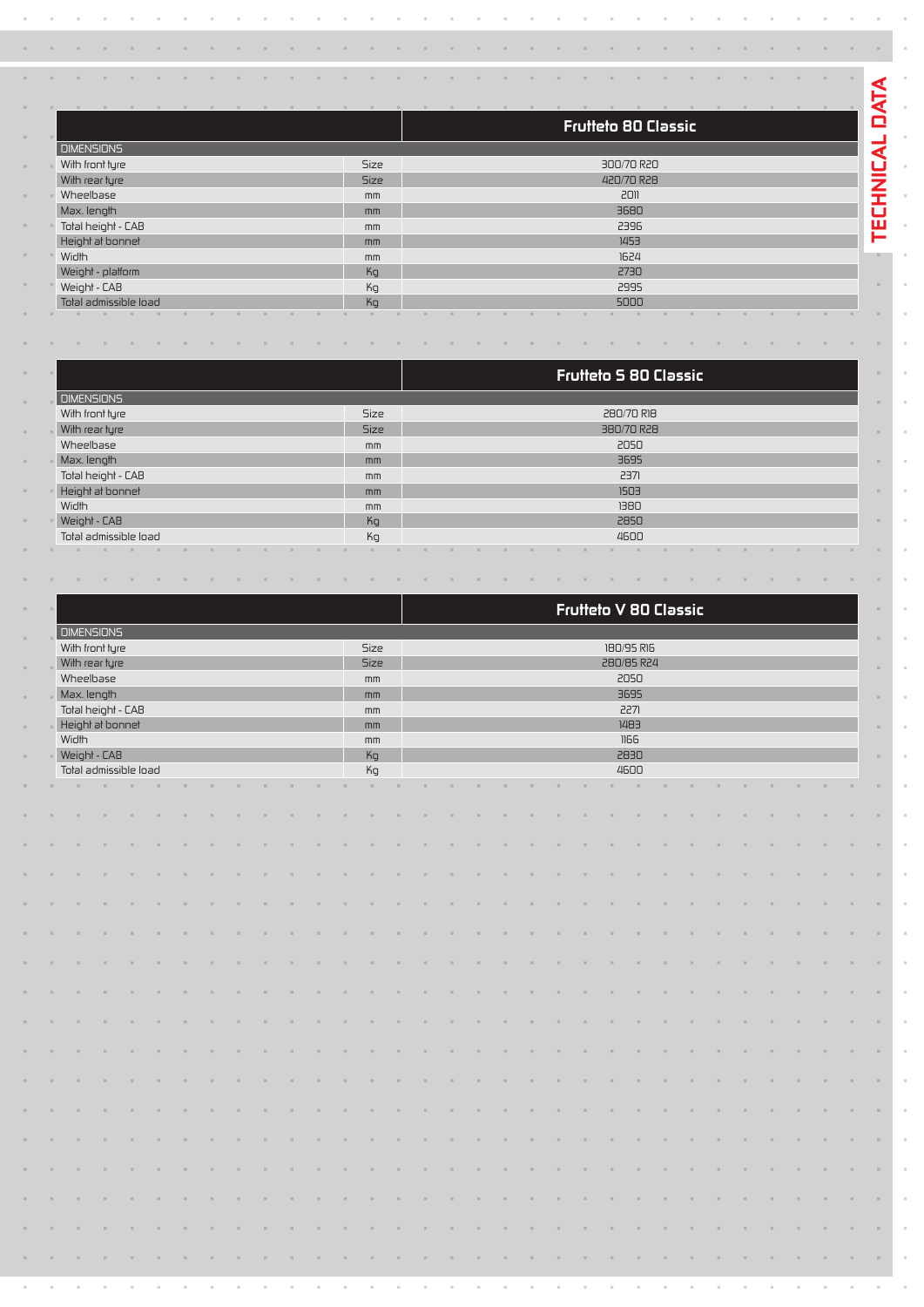|                       |             | <b>Frutteto 80 Classic</b> |  |  |  |  |  |  |  |  |  |  |  |  |  |
|-----------------------|-------------|----------------------------|--|--|--|--|--|--|--|--|--|--|--|--|--|
| <b>DIMENSIONS</b>     |             |                            |  |  |  |  |  |  |  |  |  |  |  |  |  |
| With front tyre       | <b>Size</b> | 300/70 R20                 |  |  |  |  |  |  |  |  |  |  |  |  |  |
| With rear tyre        | <b>Size</b> | 420/70 R28                 |  |  |  |  |  |  |  |  |  |  |  |  |  |
| Wheelbase             | mm          | 2011                       |  |  |  |  |  |  |  |  |  |  |  |  |  |
| Max. length           | mm          | 3680                       |  |  |  |  |  |  |  |  |  |  |  |  |  |
| Total height - CAB    | mm          | 2396                       |  |  |  |  |  |  |  |  |  |  |  |  |  |
| Height at bonnet      | mm          | 1453                       |  |  |  |  |  |  |  |  |  |  |  |  |  |
| Width                 | mm          | 1624                       |  |  |  |  |  |  |  |  |  |  |  |  |  |
| Weight - platform     | Kg          | 2730                       |  |  |  |  |  |  |  |  |  |  |  |  |  |
| Weight - CAB          | Kg          | 2995                       |  |  |  |  |  |  |  |  |  |  |  |  |  |
| Total admissible load | Kq          | 5000                       |  |  |  |  |  |  |  |  |  |  |  |  |  |

and the control of

 $\overline{\mathbf{C}}$ 

i,

à, Ŷ, í,  $\bar{z}$ 

J.

and a series of the contract of the contract of the contract of the contract of

and the control of

 $\alpha$  ,  $\beta$  ,  $\alpha$ 

 $\mathcal{L}$ 

 $\sim$  $\mathcal{L}$  $\sim$   $\alpha$  ,  $\beta$  ,  $\alpha$ 

 $\sim$  $\sim$ 

|                       |             | <b>Frutteto 5 80 Classic</b> |  |  |  |  |  |  |  |  |  |  |  |  |  |  |
|-----------------------|-------------|------------------------------|--|--|--|--|--|--|--|--|--|--|--|--|--|--|
| <b>DIMENSIONS</b>     |             |                              |  |  |  |  |  |  |  |  |  |  |  |  |  |  |
| With front tyre       | <b>Size</b> | 280/70 RI8                   |  |  |  |  |  |  |  |  |  |  |  |  |  |  |
| With rear tyre        | <b>Size</b> | 380/70 R28                   |  |  |  |  |  |  |  |  |  |  |  |  |  |  |
| Wheelbase             | mm          | 2050                         |  |  |  |  |  |  |  |  |  |  |  |  |  |  |
| Max. length           | mm          | 3695                         |  |  |  |  |  |  |  |  |  |  |  |  |  |  |
| Total height - CAB    | mm          | 2371                         |  |  |  |  |  |  |  |  |  |  |  |  |  |  |
| Height at bonnet      | mm          | 1503                         |  |  |  |  |  |  |  |  |  |  |  |  |  |  |
| Width                 | mm          | 1380                         |  |  |  |  |  |  |  |  |  |  |  |  |  |  |
| Weight - CAB          | Kg          | 2850                         |  |  |  |  |  |  |  |  |  |  |  |  |  |  |
| Total admissible load | Kg          | 4600                         |  |  |  |  |  |  |  |  |  |  |  |  |  |  |
|                       |             |                              |  |  |  |  |  |  |  |  |  |  |  |  |  |  |

the contract of the contract of the contract of the contract of the contract of the contract of the contract of

|            |                       |                   |    |    |  |  |  |               |             |            |    |    |  | Frutteto V 80 Classic |  |  |  |      |            |      |    |    |  |  |  |  |          |          |  |  |                |  |  |
|------------|-----------------------|-------------------|----|----|--|--|--|---------------|-------------|------------|----|----|--|-----------------------|--|--|--|------|------------|------|----|----|--|--|--|--|----------|----------|--|--|----------------|--|--|
| a.         |                       | <b>DIMENSIONS</b> |    |    |  |  |  |               |             |            |    |    |  |                       |  |  |  |      |            |      |    |    |  |  |  |  |          |          |  |  | $\alpha$       |  |  |
|            | With front tyre       |                   |    |    |  |  |  |               | Size        | 180/95 R16 |    |    |  |                       |  |  |  |      |            |      |    |    |  |  |  |  |          |          |  |  |                |  |  |
| $\alpha$   | With rear tyre        |                   |    |    |  |  |  |               | <b>Size</b> |            |    |    |  |                       |  |  |  |      | 280/85 R24 |      |    |    |  |  |  |  |          | $\alpha$ |  |  |                |  |  |
|            | Wheelbase             |                   |    |    |  |  |  |               | mm          |            |    |    |  |                       |  |  |  |      | 2050       |      |    |    |  |  |  |  |          |          |  |  |                |  |  |
| $\alpha$ . | Max. length           |                   |    |    |  |  |  |               | mm          |            |    |    |  |                       |  |  |  |      | 3695       |      |    |    |  |  |  |  |          | $\sim$   |  |  |                |  |  |
|            | Total height - CAB    |                   |    |    |  |  |  | mm            |             |            |    |    |  |                       |  |  |  | 2271 |            |      |    |    |  |  |  |  |          |          |  |  |                |  |  |
| $\alpha$ . | - Height at bonnet    |                   |    |    |  |  |  | mm            |             |            |    |    |  |                       |  |  |  | 1483 |            |      |    |    |  |  |  |  | $\alpha$ |          |  |  |                |  |  |
|            | Width                 |                   |    |    |  |  |  | $\mathsf{mm}$ |             |            |    |    |  |                       |  |  |  | 1166 |            |      |    |    |  |  |  |  |          |          |  |  |                |  |  |
| $\alpha$ . | Weight - CAB          |                   |    |    |  |  |  |               | Kg          |            |    |    |  |                       |  |  |  |      | 2830       |      |    |    |  |  |  |  |          | $\alpha$ |  |  |                |  |  |
|            | Total admissible load |                   |    |    |  |  |  |               |             | Kg         |    |    |  |                       |  |  |  |      |            | 4600 |    |    |  |  |  |  |          |          |  |  |                |  |  |
| $\alpha$ . | ×.                    | $\sim$            | ×. | a. |  |  |  |               |             |            | ×. | ×. |  |                       |  |  |  |      |            |      | a. | n. |  |  |  |  | $\alpha$ |          |  |  |                |  |  |
|            |                       |                   |    |    |  |  |  |               |             |            |    |    |  |                       |  |  |  |      |            |      |    |    |  |  |  |  |          |          |  |  |                |  |  |
|            |                       |                   |    |    |  |  |  |               |             |            |    |    |  |                       |  |  |  |      |            |      |    |    |  |  |  |  |          |          |  |  | $\alpha$       |  |  |
|            |                       |                   |    |    |  |  |  |               |             |            |    |    |  |                       |  |  |  |      |            |      |    |    |  |  |  |  |          |          |  |  |                |  |  |
|            |                       |                   |    |    |  |  |  |               |             |            |    |    |  |                       |  |  |  |      |            |      |    |    |  |  |  |  |          |          |  |  | $\sim$ 10 $\,$ |  |  |
|            |                       |                   |    |    |  |  |  |               |             |            |    |    |  |                       |  |  |  |      |            |      |    |    |  |  |  |  |          |          |  |  |                |  |  |
|            |                       |                   |    |    |  |  |  |               |             |            |    |    |  |                       |  |  |  |      |            |      |    |    |  |  |  |  |          |          |  |  | $\sim$ 10 $\,$ |  |  |
|            |                       |                   |    |    |  |  |  |               |             |            |    |    |  |                       |  |  |  |      |            |      |    |    |  |  |  |  |          |          |  |  |                |  |  |
|            |                       |                   |    |    |  |  |  |               |             |            |    |    |  |                       |  |  |  |      |            |      |    |    |  |  |  |  |          |          |  |  | $\sim$         |  |  |
|            |                       |                   |    |    |  |  |  |               |             |            |    |    |  |                       |  |  |  |      |            |      |    |    |  |  |  |  |          |          |  |  |                |  |  |
|            |                       |                   |    |    |  |  |  |               |             |            |    |    |  |                       |  |  |  |      |            |      |    |    |  |  |  |  |          |          |  |  | $\sim$ 10 $\,$ |  |  |
|            |                       |                   |    |    |  |  |  |               |             |            |    |    |  |                       |  |  |  |      |            |      |    |    |  |  |  |  |          |          |  |  | $\alpha$       |  |  |
|            |                       |                   |    |    |  |  |  |               |             |            |    |    |  |                       |  |  |  |      |            |      |    |    |  |  |  |  |          |          |  |  |                |  |  |
|            |                       |                   |    |    |  |  |  |               |             |            |    |    |  |                       |  |  |  |      |            |      |    |    |  |  |  |  |          |          |  |  | $\sim$         |  |  |
|            |                       |                   |    |    |  |  |  |               |             |            |    |    |  |                       |  |  |  |      |            |      |    |    |  |  |  |  |          |          |  |  |                |  |  |
|            |                       |                   |    |    |  |  |  |               |             |            |    |    |  |                       |  |  |  |      |            |      |    |    |  |  |  |  |          |          |  |  | $\sim$         |  |  |
|            |                       |                   |    |    |  |  |  |               |             |            |    |    |  |                       |  |  |  |      |            |      |    |    |  |  |  |  |          |          |  |  |                |  |  |
|            |                       |                   |    |    |  |  |  |               |             |            |    |    |  |                       |  |  |  |      |            |      |    |    |  |  |  |  |          |          |  |  | $\sim$         |  |  |
|            |                       |                   |    |    |  |  |  |               |             |            |    |    |  |                       |  |  |  |      |            |      |    |    |  |  |  |  |          |          |  |  |                |  |  |
| m.         |                       |                   |    |    |  |  |  |               |             |            |    |    |  |                       |  |  |  |      |            |      |    |    |  |  |  |  |          |          |  |  | $\sim$ 10 $\,$ |  |  |
|            |                       |                   |    |    |  |  |  |               |             |            |    |    |  |                       |  |  |  |      |            |      |    |    |  |  |  |  |          |          |  |  |                |  |  |
|            |                       |                   |    |    |  |  |  |               |             |            |    |    |  |                       |  |  |  |      |            |      |    |    |  |  |  |  |          |          |  |  | $\sim$         |  |  |
|            |                       |                   |    |    |  |  |  |               |             |            |    |    |  |                       |  |  |  |      |            |      |    |    |  |  |  |  |          |          |  |  |                |  |  |
|            |                       |                   |    |    |  |  |  |               |             |            |    |    |  |                       |  |  |  |      |            |      |    |    |  |  |  |  |          |          |  |  | $\alpha$       |  |  |
|            |                       |                   |    |    |  |  |  |               |             |            |    |    |  |                       |  |  |  |      |            |      |    |    |  |  |  |  |          |          |  |  |                |  |  |
|            |                       |                   |    |    |  |  |  |               |             |            |    |    |  |                       |  |  |  |      |            |      |    |    |  |  |  |  |          |          |  |  | $\sim$ 10 $\,$ |  |  |
|            |                       |                   |    |    |  |  |  |               |             |            |    |    |  |                       |  |  |  |      |            |      |    |    |  |  |  |  |          |          |  |  |                |  |  |
|            |                       |                   |    |    |  |  |  |               |             |            |    |    |  |                       |  |  |  |      |            |      |    |    |  |  |  |  |          |          |  |  | $\sim$         |  |  |
|            |                       |                   |    |    |  |  |  |               |             |            |    |    |  |                       |  |  |  |      |            |      |    |    |  |  |  |  |          |          |  |  |                |  |  |
|            |                       |                   |    |    |  |  |  |               |             |            |    |    |  |                       |  |  |  |      |            |      |    |    |  |  |  |  |          |          |  |  | $\sim$         |  |  |
|            |                       |                   |    |    |  |  |  |               |             |            |    |    |  |                       |  |  |  |      |            |      |    |    |  |  |  |  |          |          |  |  | $\sim 10^{-1}$ |  |  |
|            |                       |                   |    |    |  |  |  |               |             |            |    |    |  |                       |  |  |  |      |            |      |    |    |  |  |  |  |          |          |  |  |                |  |  |
|            |                       |                   |    |    |  |  |  |               |             |            |    |    |  |                       |  |  |  |      |            |      |    |    |  |  |  |  |          |          |  |  |                |  |  |